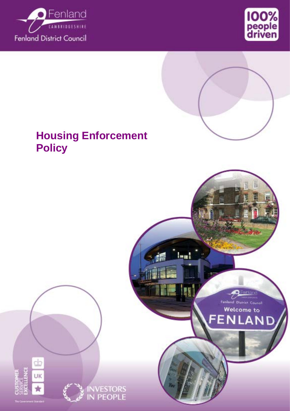





Fenland District Council Welcome to

Δ

FEN

**Lead** 

# **Housing Enforcement Policy**

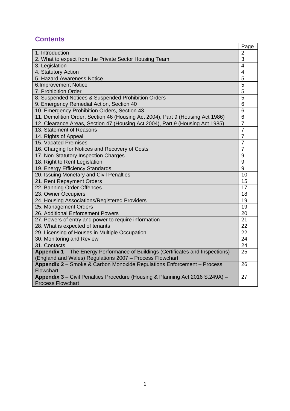# **Contents**

|                                                                                                           | Page           |
|-----------------------------------------------------------------------------------------------------------|----------------|
| 1. Introduction                                                                                           | $\overline{2}$ |
| 2. What to expect from the Private Sector Housing Team                                                    | 3              |
| 3. Legislation                                                                                            | $\overline{4}$ |
| 4. Statutory Action                                                                                       | $\overline{4}$ |
| 5. Hazard Awareness Notice                                                                                | 5              |
| <b>6.Improvement Notice</b>                                                                               | 5              |
| 7. Prohibition Order                                                                                      | 5              |
| 8. Suspended Notices & Suspended Prohibition Orders                                                       | 5              |
| 9. Emergency Remedial Action, Section 40                                                                  | 6              |
| 10. Emergency Prohibition Orders, Section 43                                                              | 6              |
| 11. Demolition Order, Section 46 (Housing Act 2004), Part 9 (Housing Act 1986)                            | $6\phantom{1}$ |
| 12. Clearance Areas, Section 47 (Housing Act 2004), Part 9 (Housing Act 1985)                             | $\overline{7}$ |
| 13. Statement of Reasons                                                                                  | $\overline{7}$ |
| 14. Rights of Appeal                                                                                      | $\overline{7}$ |
| 15. Vacated Premises                                                                                      | $\overline{7}$ |
| 16. Charging for Notices and Recovery of Costs                                                            | $\overline{7}$ |
| 17. Non-Statutory Inspection Charges                                                                      | 9              |
| 18. Right to Rent Legislation                                                                             | 9              |
| 19. Energy Efficiency Standards                                                                           | 9              |
| 20. Issuing Monetary and Civil Penalties                                                                  | 10             |
| 21. Rent Repayment Orders                                                                                 | 15             |
| 22. Banning Order Offences                                                                                | 17             |
| 23. Owner Occupiers                                                                                       | 18             |
| 24. Housing Associations/Registered Providers                                                             | 19             |
| 25. Management Orders                                                                                     | 19             |
| 26. Additional Enforcement Powers                                                                         | 20             |
| 27. Powers of entry and power to require information                                                      | 21             |
| 28. What is expected of tenants                                                                           | 22             |
| 29. Licensing of Houses in Multiple Occupation                                                            | 22             |
| 30. Monitoring and Review                                                                                 | 24             |
| 31. Contacts                                                                                              | 24             |
| Appendix 1 - The Energy Performance of Buildings (Certificates and Inspections)                           | 25             |
| (England and Wales) Regulations 2007 - Process Flowchart                                                  |                |
| Appendix 2 - Smoke & Carbon Monoxide Regulations Enforcement - Process<br>Flowchart                       | 26             |
| Appendix 3 - Civil Penalties Procedure (Housing & Planning Act 2016 S.249A) -<br><b>Process Flowchart</b> | 27             |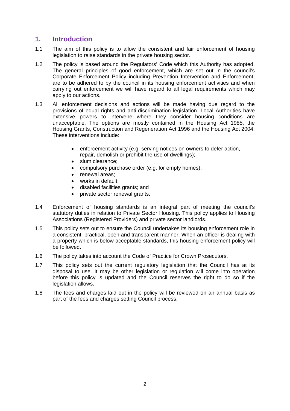# **1. Introduction**

- 1.1 The aim of this policy is to allow the consistent and fair enforcement of housing legislation to raise standards in the private housing sector.
- 1.2 The policy is based around the Regulators' Code which this Authority has adopted. The general principles of good enforcement, which are set out in the council's Corporate Enforcement Policy including Prevention Intervention and Enforcement, are to be adhered to by the council in its housing enforcement activities and when carrying out enforcement we will have regard to all legal requirements which may apply to our actions.
- 1.3 All enforcement decisions and actions will be made having due regard to the provisions of equal rights and anti-discrimination legislation. Local Authorities have extensive powers to intervene where they consider housing conditions are unacceptable. The options are mostly contained in the Housing Act 1985, the Housing Grants, Construction and Regeneration Act 1996 and the Housing Act 2004. These interventions include:
	- enforcement activity (e.g. serving notices on owners to defer action, repair, demolish or prohibit the use of dwellings);
	- slum clearance;
	- compulsory purchase order (e.g. for empty homes);
	- renewal areas;
	- works in default:
	- disabled facilities grants; and
	- private sector renewal grants.
- 1.4 Enforcement of housing standards is an integral part of meeting the council's statutory duties in relation to Private Sector Housing. This policy applies to Housing Associations (Registered Providers) and private sector landlords.
- 1.5 This policy sets out to ensure the Council undertakes its housing enforcement role in a consistent, practical, open and transparent manner. When an officer is dealing with a property which is below acceptable standards, this housing enforcement policy will be followed.
- 1.6 The policy takes into account the Code of Practice for Crown Prosecutors.
- 1.7 This policy sets out the current regulatory legislation that the Council has at its disposal to use. It may be other legislation or regulation will come into operation before this policy is updated and the Council reserves the right to do so if the legislation allows.
- 1.8 The fees and charges laid out in the policy will be reviewed on an annual basis as part of the fees and charges setting Council process.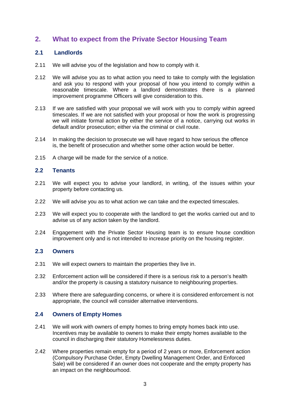# **2. What to expect from the Private Sector Housing Team**

### **2.1 Landlords**

- 2.11 We will advise you of the legislation and how to comply with it.
- 2.12 We will advise you as to what action you need to take to comply with the legislation and ask you to respond with your proposal of how you intend to comply within a reasonable timescale. Where a landlord demonstrates there is a planned improvement programme Officers will give consideration to this.
- 2.13 If we are satisfied with your proposal we will work with you to comply within agreed timescales. If we are not satisfied with your proposal or how the work is progressing we will initiate formal action by either the service of a notice, carrying out works in default and/or prosecution; either via the criminal or civil route.
- 2.14 In making the decision to prosecute we will have regard to how serious the offence is, the benefit of prosecution and whether some other action would be better.
- 2.15 A charge will be made for the service of a notice.

#### **2.2 Tenants**

- 2.21 We will expect you to advise your landlord, in writing, of the issues within your property before contacting us.
- 2.22 We will advise you as to what action we can take and the expected timescales.
- 2.23 We will expect you to cooperate with the landlord to get the works carried out and to advise us of any action taken by the landlord.
- 2.24 Engagement with the Private Sector Housing team is to ensure house condition improvement only and is not intended to increase priority on the housing register.

#### **2.3 Owners**

- 2.31 We will expect owners to maintain the properties they live in.
- 2.32 Enforcement action will be considered if there is a serious risk to a person's health and/or the property is causing a statutory nuisance to neighbouring properties.
- 2.33 Where there are safeguarding concerns, or where it is considered enforcement is not appropriate, the council will consider alternative interventions.

#### **2.4 Owners of Empty Homes**

- 2.41 We will work with owners of empty homes to bring empty homes back into use. Incentives may be available to owners to make their empty homes available to the council in discharging their statutory Homelessness duties.
- 2.42 Where properties remain empty for a period of 2 years or more, Enforcement action (Compulsory Purchase Order, Empty Dwelling Management Order, and Enforced Sale) will be considered if an owner does not cooperate and the empty property has an impact on the neighbourhood.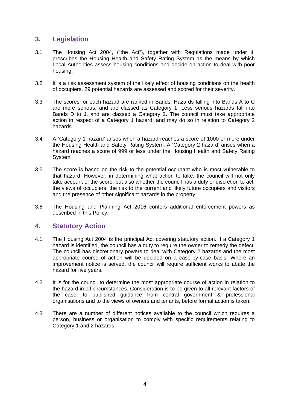# **3. Legislation**

- 3.1 The Housing Act 2004, ("the Act"), together with Regulations made under it, prescribes the Housing Health and Safety Rating System as the means by which Local Authorities assess housing conditions and decide on action to deal with poor housing.
- 3.2 It is a risk assessment system of the likely effect of housing conditions on the health of occupiers. 29 potential hazards are assessed and scored for their severity.
- 3.3 The scores for each hazard are ranked in Bands. Hazards falling into Bands A to C are more serious, and are classed as Category 1. Less serious hazards fall into Bands D to J, and are classed a Category 2. The council must take appropriate action in respect of a Category 1 hazard, and may do so in relation to Category 2 hazards.
- 3.4 A 'Category 1 hazard' arises when a hazard reaches a score of 1000 or more under the Housing Health and Safety Rating System. A 'Category 2 hazard' arises when a hazard reaches a score of 999 or less under the Housing Health and Safety Rating System.
- 3.5 The score is based on the risk to the potential occupant who is most vulnerable to that hazard. However, in determining what action to take, the council will not only take account of the score, but also whether the council has a duty or discretion to act, the views of occupiers, the risk to the current and likely future occupiers and visitors and the presence of other significant hazards in the property.
- 3.6 The Housing and Planning Act 2016 confers additional enforcement powers as described in this Policy.

### **4. Statutory Action**

- 4.1 The Housing Act 2004 is the principal Act covering statutory action. If a Category 1 hazard is identified, the council has a duty to require the owner to remedy the defect. The council has discretionary powers to deal with Category 2 hazards and the most appropriate course of action will be decided on a case-by-case basis. Where an improvement notice is served, the council will require sufficient works to abate the hazard for five years.
- 4.2 It is for the council to determine the most appropriate course of action in relation to the hazard in all circumstances. Consideration is to be given to all relevant factors of the case, to published guidance from central government & professional organisations and to the views of owners and tenants, before formal action is taken.
- 4.3 There are a number of different notices available to the council which requires a person, business or organisation to comply with specific requirements relating to Category 1 and 2 hazards.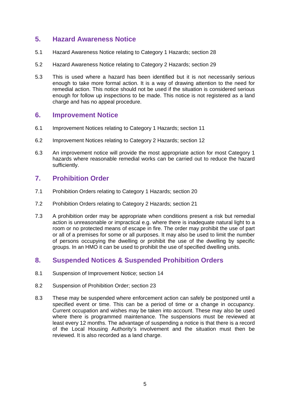# **5. Hazard Awareness Notice**

- 5.1 Hazard Awareness Notice relating to Category 1 Hazards; section 28
- 5.2 Hazard Awareness Notice relating to Category 2 Hazards; section 29
- 5.3 This is used where a hazard has been identified but it is not necessarily serious enough to take more formal action. It is a way of drawing attention to the need for remedial action. This notice should not be used if the situation is considered serious enough for follow up inspections to be made. This notice is not registered as a land charge and has no appeal procedure.

### **6. Improvement Notice**

- 6.1 Improvement Notices relating to Category 1 Hazards; section 11
- 6.2 Improvement Notices relating to Category 2 Hazards; section 12
- 6.3 An improvement notice will provide the most appropriate action for most Category 1 hazards where reasonable remedial works can be carried out to reduce the hazard sufficiently.

# **7. Prohibition Order**

- 7.1 Prohibition Orders relating to Category 1 Hazards; section 20
- 7.2 Prohibition Orders relating to Category 2 Hazards; section 21
- 7.3 A prohibition order may be appropriate when conditions present a risk but remedial action is unreasonable or impractical e.g. where there is inadequate natural light to a room or no protected means of escape in fire. The order may prohibit the use of part or all of a premises for some or all purposes. It may also be used to limit the number of persons occupying the dwelling or prohibit the use of the dwelling by specific groups. In an HMO it can be used to prohibit the use of specified dwelling units.

### **8. Suspended Notices & Suspended Prohibition Orders**

- 8.1 Suspension of Improvement Notice; section 14
- 8.2 Suspension of Prohibition Order; section 23
- 8.3 These may be suspended where enforcement action can safely be postponed until a specified event or time. This can be a period of time or a change in occupancy. Current occupation and wishes may be taken into account. These may also be used where there is programmed maintenance. The suspensions must be reviewed at least every 12 months. The advantage of suspending a notice is that there is a record of the Local Housing Authority's involvement and the situation must then be reviewed. It is also recorded as a land charge.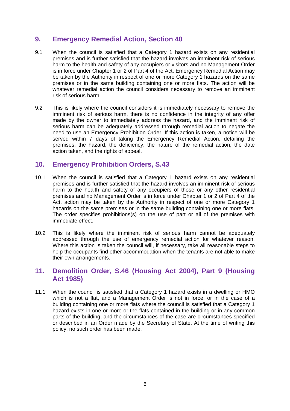# **9. Emergency Remedial Action, Section 40**

- 9.1 When the council is satisfied that a Category 1 hazard exists on any residential premises and is further satisfied that the hazard involves an imminent risk of serious harm to the health and safety of any occupiers or visitors and no Management Order is in force under Chapter 1 or 2 of Part 4 of the Act. Emergency Remedial Action may be taken by the Authority in respect of one or more Category 1 hazards on the same premises or in the same building containing one or more flats. The action will be whatever remedial action the council considers necessary to remove an imminent risk of serious harm.
- 9.2 This is likely where the council considers it is immediately necessary to remove the imminent risk of serious harm, there is no confidence in the integrity of any offer made by the owner to immediately address the hazard, and the imminent risk of serious harm can be adequately addressed through remedial action to negate the need to use an Emergency Prohibition Order. If this action is taken, a notice will be served within 7 days of taking the Emergency Remedial Action, detailing the premises, the hazard, the deficiency, the nature of the remedial action, the date action taken, and the rights of appeal.

### **10. Emergency Prohibition Orders, S.43**

- 10.1 When the council is satisfied that a Category 1 hazard exists on any residential premises and is further satisfied that the hazard involves an imminent risk of serious harm to the health and safety of any occupiers of those or any other residential premises and no Management Order is in force under Chapter 1 or 2 of Part 4 of the Act, action may be taken by the Authority in respect of one or more Category 1 hazards on the same premises or in the same building containing one or more flats. The order specifies prohibitions(s) on the use of part or all of the premises with immediate effect.
- 10.2 This is likely where the imminent risk of serious harm cannot be adequately addressed through the use of emergency remedial action for whatever reason. Where this action is taken the council will, if necessary, take all reasonable steps to help the occupants find other accommodation when the tenants are not able to make their own arrangements.

### **11. Demolition Order, S.46 (Housing Act 2004), Part 9 (Housing Act 1985)**

11.1 When the council is satisfied that a Category 1 hazard exists in a dwelling or HMO which is not a flat, and a Management Order is not in force, or in the case of a building containing one or more flats where the council is satisfied that a Category 1 hazard exists in one or more or the flats contained in the building or in any common parts of the building, and the circumstances of the case are circumstances specified or described in an Order made by the Secretary of State. At the time of writing this policy, no such order has been made.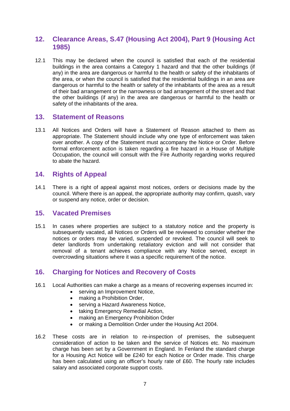# **12. Clearance Areas, S.47 (Housing Act 2004), Part 9 (Housing Act 1985)**

12.1 This may be declared when the council is satisfied that each of the residential buildings in the area contains a Category 1 hazard and that the other buildings (if any) in the area are dangerous or harmful to the health or safety of the inhabitants of the area, or when the council is satisfied that the residential buildings in an area are dangerous or harmful to the health or safety of the inhabitants of the area as a result of their bad arrangement or the narrowness or bad arrangement of the street and that the other buildings (if any) in the area are dangerous or harmful to the health or safety of the inhabitants of the area.

### **13. Statement of Reasons**

13.1 All Notices and Orders will have a Statement of Reason attached to them as appropriate. The Statement should include why one type of enforcement was taken over another. A copy of the Statement must accompany the Notice or Order. Before formal enforcement action is taken regarding a fire hazard in a House of Multiple Occupation, the council will consult with the Fire Authority regarding works required to abate the hazard.

### **14. Rights of Appeal**

14.1 There is a right of appeal against most notices, orders or decisions made by the council. Where there is an appeal, the appropriate authority may confirm, quash, vary or suspend any notice, order or decision.

### **15. Vacated Premises**

15.1 In cases where properties are subject to a statutory notice and the property is subsequently vacated, all Notices or Orders will be reviewed to consider whether the notices or orders may be varied, suspended or revoked. The council will seek to deter landlords from undertaking retaliatory eviction and will not consider that removal of a tenant achieves compliance with any Notice served, except in overcrowding situations where it was a specific requirement of the notice.

# **16. Charging for Notices and Recovery of Costs**

- 16.1 Local Authorities can make a charge as a means of recovering expenses incurred in:
	- serving an Improvement Notice.
	- making a Prohibition Order,
	- serving a Hazard Awareness Notice,
	- taking Emergency Remedial Action,
	- making an Emergency Prohibition Order
	- or making a Demolition Order under the Housing Act 2004.
- 16.2 These costs are in relation to re-inspection of premises, the subsequent consideration of action to be taken and the service of Notices etc. No maximum charge has been set by a Government in England. In Fenland the standard charge for a Housing Act Notice will be £240 for each Notice or Order made. This charge has been calculated using an officer's hourly rate of £60. The hourly rate includes salary and associated corporate support costs.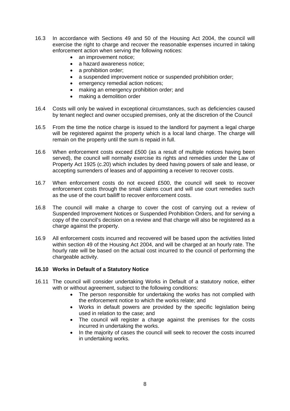- 16.3 In accordance with Sections 49 and 50 of the Housing Act 2004, the council will exercise the right to charge and recover the reasonable expenses incurred in taking enforcement action when serving the following notices:
	- an improvement notice;
	- a hazard awareness notice;
	- a prohibition order:
	- a suspended improvement notice or suspended prohibition order;
	- emergency remedial action notices:
	- making an emergency prohibition order; and
	- making a demolition order
- 16.4 Costs will only be waived in exceptional circumstances, such as deficiencies caused by tenant neglect and owner occupied premises, only at the discretion of the Council
- 16.5 From the time the notice charge is issued to the landlord for payment a legal charge will be registered against the property which is a local land charge. The charge will remain on the property until the sum is repaid in full.
- 16.6 When enforcement costs exceed £500 (as a result of multiple notices having been served), the council will normally exercise its rights and remedies under the Law of Property Act 1925 (c.20) which includes by deed having powers of sale and lease, or accepting surrenders of leases and of appointing a receiver to recover costs.
- 16.7 When enforcement costs do not exceed £500, the council will seek to recover enforcement costs through the small claims court and will use court remedies such as the use of the court bailiff to recover enforcement costs.
- 16.8 The council will make a charge to cover the cost of carrying out a review of Suspended Improvement Notices or Suspended Prohibition Orders, and for serving a copy of the council's decision on a review and that charge will also be registered as a charge against the property.
- 16.9 All enforcement costs incurred and recovered will be based upon the activities listed within section 49 of the Housing Act 2004, and will be charged at an hourly rate. The hourly rate will be based on the actual cost incurred to the council of performing the chargeable activity.

### **16.10 Works in Default of a Statutory Notice**

- 16.11 The council will consider undertaking Works in Default of a statutory notice, either with or without agreement, subject to the following conditions:
	- The person responsible for undertaking the works has not complied with the enforcement notice to which the works relate; and
	- Works in default powers are provided by the specific legislation being used in relation to the case; and
	- The council will register a charge against the premises for the costs incurred in undertaking the works.
	- In the majority of cases the council will seek to recover the costs incurred in undertaking works.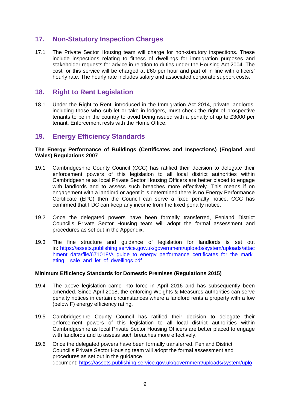# **17. Non-Statutory Inspection Charges**

17.1 The Private Sector Housing team will charge for non-statutory inspections. These include inspections relating to fitness of dwellings for immigration purposes and stakeholder requests for advice in relation to duties under the Housing Act 2004. The cost for this service will be charged at £60 per hour and part of in line with officers' hourly rate. The hourly rate includes salary and associated corporate support costs.

### **18. Right to Rent Legislation**

18.1 Under the Right to Rent, introduced in the Immigration Act 2014, private landlords, including those who sub-let or take in lodgers, must check the right of prospective tenants to be in the country to avoid being issued with a penalty of up to £3000 per tenant. Enforcement rests with the Home Office.

### **19. Energy Efficiency Standards**

#### **The Energy Performance of Buildings (Certificates and Inspections) (England and Wales) Regulations 2007**

- 19.1 Cambridgeshire County Council (CCC) has ratified their decision to delegate their enforcement powers of this legislation to all local district authorities within Cambridgeshire as local Private Sector Housing Officers are better placed to engage with landlords and to assess such breaches more effectively. This means if on engagement with a landlord or agent it is determined there is no Energy Performance Certificate (EPC) then the Council can serve a fixed penalty notice. CCC has confirmed that FDC can keep any income from the fixed penalty notice.
- 19.2 Once the delegated powers have been formally transferred, Fenland District Council's Private Sector Housing team will adopt the formal assessment and procedures as set out in the Appendix.
- 19.3 The fine structure and guidance of legislation for landlords is set out in: [https://assets.publishing.service.gov.uk/government/uploads/system/uploads/attac](https://assets.publishing.service.gov.uk/government/uploads/system/uploads/attachment_data/file/671018/A_guide_to_energy_performance_certificates_for_the_marketing__sale_and_let_of_dwellings.pdf) hment\_data/file/671018/A\_quide\_to\_energy\_performance\_certificates\_for\_the\_mark eting sale and let of dwellings.pdf

#### **Minimum Efficiency Standards for Domestic Premises (Regulations 2015)**

- 19.4 The above legislation came into force in April 2016 and has subsequently been amended. Since April 2018, the enforcing Weights & Measures authorities can serve penalty notices in certain circumstances where a landlord rents a property with a low (below F) energy efficiency rating.
- 19.5 Cambridgeshire County Council has ratified their decision to delegate their enforcement powers of this legislation to all local district authorities within Cambridgeshire as local Private Sector Housing Officers are better placed to engage with landlords and to assess such breaches more effectively.
- 19.6 Once the delegated powers have been formally transferred, Fenland District Council's Private Sector Housing team will adopt the formal assessment and procedures as set out in the guidance document: [https://assets.publishing.service.gov.uk/government/uploads/system/uplo](https://assets.publishing.service.gov.uk/government/uploads/system/uploads/attachment_data/file/713159/Domestic_Private_Rented_Landlord_Guidance_-_June_18.pdf)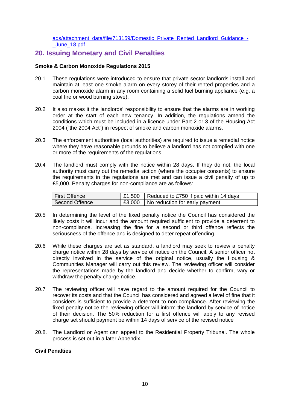#### [ads/attachment\\_data/file/713159/Domestic\\_Private\\_Rented\\_Landlord\\_Guidance\\_-](https://assets.publishing.service.gov.uk/government/uploads/system/uploads/attachment_data/file/713159/Domestic_Private_Rented_Landlord_Guidance_-_June_18.pdf) [\\_June\\_18.pdf](https://assets.publishing.service.gov.uk/government/uploads/system/uploads/attachment_data/file/713159/Domestic_Private_Rented_Landlord_Guidance_-_June_18.pdf)

### **20. Issuing Monetary and Civil Penalties**

#### **Smoke & Carbon Monoxide Regulations 2015**

- 20.1 These regulations were introduced to ensure that private sector landlords install and maintain at least one smoke alarm on every storey of their rented properties and a carbon monoxide alarm in any room containing a solid fuel burning appliance (e.g. a coal fire or wood burning stove).
- 20.2 It also makes it the landlords' responsibility to ensure that the alarms are in working order at the start of each new tenancy. In addition, the regulations amend the conditions which must be included in a licence under Part 2 or 3 of the Housing Act 2004 ("the 2004 Act") in respect of smoke and carbon monoxide alarms.
- 20.3 The enforcement authorities (local authorities) are required to issue a remedial notice where they have reasonable grounds to believe a landlord has not complied with one or more of the requirements of the regulations.
- 20.4 The landlord must comply with the notice within 28 days. If they do not, the local authority must carry out the remedial action (where the occupier consents) to ensure the requirements in the regulations are met and can issue a civil penalty of up to £5,000. Penalty charges for non-compliance are as follows:

| <b>First Offence</b> | $\vert$ £1,500 $\vert$ Reduced to £750 if paid within 14 days |
|----------------------|---------------------------------------------------------------|
| Second Offence       | <b>E3,000</b>   No reduction for early payment                |

- 20.5 In determining the level of the fixed penalty notice the Council has considered the likely costs it will incur and the amount required sufficient to provide a deterrent to non-compliance. Increasing the fine for a second or third offence reflects the seriousness of the offence and is designed to deter repeat offending.
- 20.6 While these charges are set as standard, a landlord may seek to review a penalty charge notice within 28 days by service of notice on the Council. A senior officer not directly involved in the service of the original notice, usually the Housing & Communities Manager will carry out this review. The reviewing officer will consider the representations made by the landlord and decide whether to confirm, vary or withdraw the penalty charge notice.
- 20.7 The reviewing officer will have regard to the amount required for the Council to recover its costs and that the Council has considered and agreed a level of fine that it considers is sufficient to provide a deterrent to non-compliance. After reviewing the fixed penalty notice the reviewing officer will inform the landlord by service of notice of their decision. The 50% reduction for a first offence will apply to any revised charge set should payment be within 14 days of service of the revised notice
- 20.8. The Landlord or Agent can appeal to the Residential Property Tribunal. The whole process is set out in a later Appendix.

#### **Civil Penalties**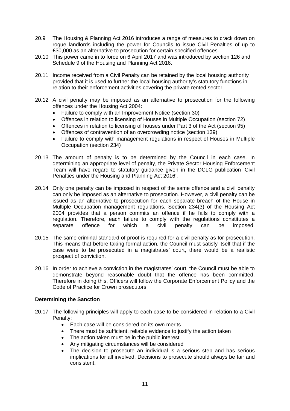- 20.9 The Housing & Planning Act 2016 introduces a range of measures to crack down on rogue landlords including the power for Councils to issue Civil Penalties of up to £30,000 as an alternative to prosecution for certain specified offences.
- 20.10 This power came in to force on 6 April 2017 and was introduced by section 126 and Schedule 9 of the Housing and Planning Act 2016.
- 20.11 Income received from a Civil Penalty can be retained by the local housing authority provided that it is used to further the local housing authority's statutory functions in relation to their enforcement activities covering the private rented sector.
- 20.12 A civil penalty may be imposed as an alternative to prosecution for the following offences under the Housing Act 2004:
	- Failure to comply with an Improvement Notice (section 30)
	- Offences in relation to licensing of Houses in Multiple Occupation (section 72)
	- Offences in relation to licensing of houses under Part 3 of the Act (section 95)
	- Offences of contravention of an overcrowding notice (section 139)
	- Failure to comply with management regulations in respect of Houses in Multiple Occupation (section 234)
- 20.13 The amount of penalty is to be determined by the Council in each case. In determining an appropriate level of penalty, the Private Sector Housing Enforcement Team will have regard to statutory guidance given in the DCLG publication 'Civil Penalties under the Housing and Planning Act 2016'.
- 20.14 Only one penalty can be imposed in respect of the same offence and a civil penalty can only be imposed as an alternative to prosecution. However, a civil penalty can be issued as an alternative to prosecution for each separate breach of the House in Multiple Occupation management regulations. Section 234(3) of the Housing Act 2004 provides that a person commits an offence if he fails to comply with a regulation. Therefore, each failure to comply with the regulations constitutes a separate offence for which a civil penalty can be imposed. separate offence for which a civil penalty can be
- 20.15 The same criminal standard of proof is required for a civil penalty as for prosecution. This means that before taking formal action, the Council must satisfy itself that if the case were to be prosecuted in a magistrates' court, there would be a realistic prospect of conviction.
- 20.16 In order to achieve a conviction in the magistrates' court, the Council must be able to demonstrate beyond reasonable doubt that the offence has been committed. Therefore in doing this, Officers will follow the Corporate Enforcement Policy and the Code of Practice for Crown prosecutors.

#### **Determining the Sanction**

- 20.17 The following principles will apply to each case to be considered in relation to a Civil Penalty;
	- Each case will be considered on its own merits
	- There must be sufficient, reliable evidence to justify the action taken
	- The action taken must be in the public interest
	- Any mitigating circumstances will be considered
	- The decision to prosecute an individual is a serious step and has serious implications for all involved. Decisions to prosecute should always be fair and consistent.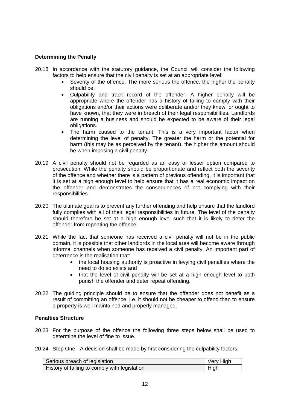#### **Determining the Penalty**

- 20.18 In accordance with the statutory guidance, the Council will consider the following factors to help ensure that the civil penalty is set at an appropriate level:
	- Severity of the offence. The more serious the offence, the higher the penalty should be.
	- Culpability and track record of the offender. A higher penalty will be appropriate where the offender has a history of failing to comply with their obligations and/or their actions were deliberate and/or they knew, or ought to have known, that they were in breach of their legal responsibilities. Landlords are running a business and should be expected to be aware of their legal obligations.
	- The harm caused to the tenant. This is a very important factor when determining the level of penalty. The greater the harm or the potential for harm (this may be as perceived by the tenant), the higher the amount should be when imposing a civil penalty.
- 20.19 A civil penalty should not be regarded as an easy or lesser option compared to prosecution. While the penalty should be proportionate and reflect both the severity of the offence and whether there is a pattern of previous offending, it is important that it is set at a high enough level to help ensure that it has a real economic impact on the offender and demonstrates the consequences of not complying with their responsibilities.
- 20.20 The ultimate goal is to prevent any further offending and help ensure that the landlord fully complies with all of their legal responsibilities in future. The level of the penalty should therefore be set at a high enough level such that it is likely to deter the offender from repeating the offence.
- 20.21 While the fact that someone has received a civil penalty will not be in the public domain, it is possible that other landlords in the local area will become aware through informal channels when someone has received a civil penalty. An important part of deterrence is the realisation that:
	- the local housing authority is proactive in levying civil penalties where the need to do so exists and
	- that the level of civil penalty will be set at a high enough level to both punish the offender and deter repeat offending.
- 20.22 The guiding principle should be to ensure that the offender does not benefit as a result of committing an offence, i.e. it should not be cheaper to offend than to ensure a property is well maintained and properly managed.

#### **Penalties Structure**

- 20.23 For the purpose of the offence the following three steps below shall be used to determine the level of fine to issue.
- 20.24 Step One A decision shall be made by first considering the culpability factors:

| Serious breach of legislation                 | Very High |
|-----------------------------------------------|-----------|
| History of failing to comply with legislation | High      |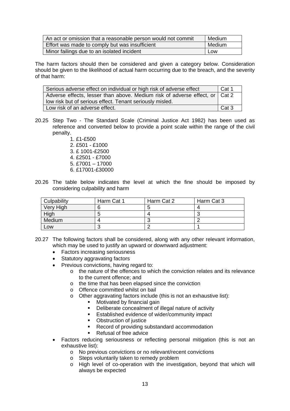| An act or omission that a reasonable person would not commit | Medium |
|--------------------------------------------------------------|--------|
| Effort was made to comply but was insufficient               | Medium |
| Minor failings due to an isolated incident                   | Low    |

The harm factors should then be considered and given a category below. Consideration should be given to the likelihood of actual harm occurring due to the breach, and the severity of that harm:

| Serious adverse effect on individual or high risk of adverse effect<br>Cat 1 |       |
|------------------------------------------------------------------------------|-------|
| Adverse effects, lesser than above. Medium risk of adverse effect, or Cat 2  |       |
| low risk but of serious effect. Tenant seriously misled.                     |       |
| Low risk of an adverse effect.                                               | Cat 3 |

- 20.25 Step Two The Standard Scale (Criminal Justice Act 1982) has been used as reference and converted below to provide a point scale within the range of the civil penalty.
	- 1. £1-£500 2. £501 - £1000 3. £ 1001-£2500 4. £2501 - £7000 5. £7001 – 17000
	- 6. £17001-£30000
- 20.26 The table below indicates the level at which the fine should be imposed by considering culpability and harm

| Culpability | Harm Cat 1 | Harm Cat 2 | Harm Cat 3 |
|-------------|------------|------------|------------|
| Very High   |            |            |            |
| High        |            |            |            |
| Medium      |            |            |            |
| LOW         |            |            |            |

- 20.27 The following factors shall be considered, along with any other relevant information, which may be used to justify an upward or downward adjustment:
	- Factors increasing seriousness
	- Statutory aggravating factors
	- Previous convictions, having regard to:
		- o the nature of the offences to which the conviction relates and its relevance to the current offence; and
		- o the time that has been elapsed since the conviction
		- o Offence committed whilst on bail
		- o Other aggravating factors include (this is not an exhaustive list):
			- **Motivated by financial gain**<br> **Paliberate concealment of**
			- Deliberate concealment of illegal nature of activity
			- **Established evidence of wider/community impact**
			- Obstruction of justice
			- Record of providing substandard accommodation
			- Refusal of free advice
	- Factors reducing seriousness or reflecting personal mitigation (this is not an exhaustive list):
		- o No previous convictions or no relevant/recent convictions
		- o Steps voluntarily taken to remedy problem
		- o High level of co-operation with the investigation, beyond that which will always be expected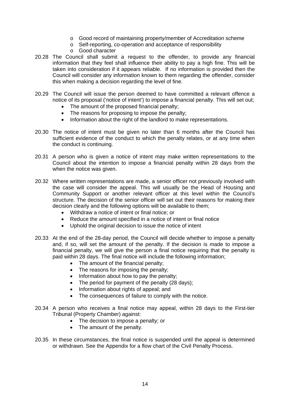- o Good record of maintaining property/member of Accreditation scheme
- o Self-reporting, co-operation and acceptance of responsibility
- o Good character
- 20.28 The Council shall submit a request to the offender, to provide any financial information that they feel shall influence their ability to pay a high fine. This will be taken into consideration if it appears reliable. If no information is provided then the Council will consider any information known to them regarding the offender, consider this when making a decision regarding the level of fine.
- 20.29 The Council will issue the person deemed to have committed a relevant offence a notice of its proposal ('notice of intent') to impose a financial penalty. This will set out;
	- The amount of the proposed financial penalty:
	- The reasons for proposing to impose the penalty;
	- Information about the right of the landlord to make representations.
- 20.30 The notice of intent must be given no later than 6 months after the Council has sufficient evidence of the conduct to which the penalty relates, or at any time when the conduct is continuing.
- 20.31 A person who is given a notice of intent may make written representations to the Council about the intention to impose a financial penalty within 28 days from the when the notice was given.
- 20.32 Where written representations are made, a senior officer not previously involved with the case will consider the appeal. This will usually be the Head of Housing and Community Support or another relevant officer at this level within the Council's structure. The decision of the senior officer will set out their reasons for making their decision clearly and the following options will be available to them;
	- Withdraw a notice of intent or final notice; or
	- Reduce the amount specified in a notice of intent or final notice
	- Uphold the original decision to issue the notice of intent
- 20.33 At the end of the 28-day period, the Council will decide whether to impose a penalty and, if so, will set the amount of the penalty. If the decision is made to impose a financial penalty, we will give the person a final notice requiring that the penalty is paid within 28 days. The final notice will include the following information;
	- The amount of the financial penalty;
	- The reasons for imposing the penalty;
	- Information about how to pay the penalty;
	- The period for payment of the penalty (28 days);
	- Information about rights of appeal; and
	- The consequences of failure to comply with the notice.
- 20.34 A person who receives a final notice may appeal, within 28 days to the First-tier Tribunal (Property Chamber) against:
	- The decision to impose a penalty; or
	- The amount of the penalty.
- 20.35 In these circumstances, the final notice is suspended until the appeal is determined or withdrawn. See the Appendix for a flow chart of the Civil Penalty Process.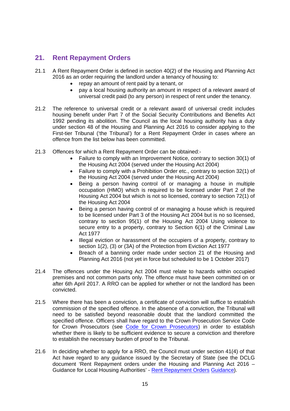# **21. Rent Repayment Orders**

- 21.1 A Rent Repayment Order is defined in section 40(2) of the Housing and Planning Act 2016 as an order requiring the landlord under a tenancy of housing to:
	- repay an amount of rent paid by a tenant, or
	- pay a local housing authority an amount in respect of a relevant award of universal credit paid (to any person) in respect of rent under the tenancy.
- 21.2 The reference to universal credit or a relevant award of universal credit includes housing benefit under Part 7 of the Social Security Contributions and Benefits Act 1992 pending its abolition. The Council as the local housing authority has a duty under section 48 of the Housing and Planning Act 2016 to consider applying to the First-tier Tribunal ('the Tribunal') for a Rent Repayment Order in cases where an offence from the list below has been committed.
- 21.3 Offences for which a Rent Repayment Order can be obtained:-
	- Failure to comply with an Improvement Notice, contrary to section 30(1) of the Housing Act 2004 (served under the Housing Act 2004)
	- Failure to comply with a Prohibition Order etc., contrary to section 32(1) of the Housing Act 2004 (served under the Housing Act 2004)
	- Being a person having control of or managing a house in multiple occupation (HMO) which is required to be licensed under Part 2 of the Housing Act 2004 but which is not so licensed, contrary to section 72(1) of the Housing Act 2004
	- Being a person having control of or managing a house which is required to be licensed under Part 3 of the Housing Act 2004 but is no so licensed, contrary to section 95(1) of the Housing Act 2004 Using violence to secure entry to a property, contrary to Section 6(1) of the Criminal Law Act 1977
	- Illegal eviction or harassment of the occupiers of a property, contrary to section 1(2), (3) or (3A) of the Protection from Eviction Act 1977
	- Breach of a banning order made under section 21 of the Housing and Planning Act 2016 (not yet in force but scheduled to be 1 October 2017)
- 21.4 The offences under the Housing Act 2004 must relate to hazards within occupied premises and not common parts only. The offence must have been committed on or after 6th April 2017. A RRO can be applied for whether or not the landlord has been convicted.
- 21.5 Where there has been a conviction, a certificate of conviction will suffice to establish commission of the specified offence. In the absence of a conviction, the Tribunal will need to be satisfied beyond reasonable doubt that the landlord committed the specified offence. Officers shall have regard to the Crown Prosecution Service Code for Crown Prosecutors (see [Code for Crown Prosecutors\)](https://www.cps.gov.uk/publications/code_for_crown_prosecutors/) in order to establish whether there is likely to be sufficient evidence to secure a conviction and therefore to establish the necessary burden of proof to the Tribunal.
- 21.6 In deciding whether to apply for a RRO, the Council must under section 41(4) of that Act have regard to any guidance issued by the Secretary of State (see the DCLG document 'Rent Repayment orders under the Housing and Planning Act 2016 – Guidance for Local Housing Authorities' - [Rent Repayment Orders](https://www.gov.uk/government/uploads/system/uploads/attachment_data/file/606654/Rent_Repayment_Orders_guidance.pdf) [Guidance\)](https://www.gov.uk/government/uploads/system/uploads/attachment_data/file/606654/Rent_Repayment_Orders_guidance.pdf).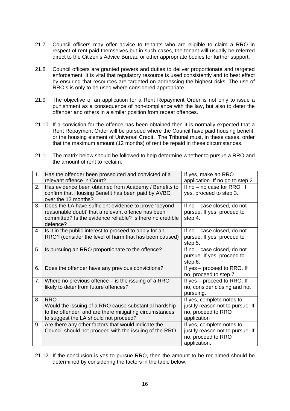- 21.7 Council officers may offer advice to tenants who are eligible to claim a RRO in respect of rent paid themselves but in such cases, the tenant will usually be referred direct to the Citizen's Advice Bureau or other appropriate bodies for further support.
- 21.8 Council officers are granted powers and duties to deliver proportionate and targeted enforcement. It is vital that regulatory resource is used consistently and to best effect by ensuring that resources are targeted on addressing the highest risks. The use of RRO's is only to be used where considered appropriate.
- 21.9 The objective of an application for a Rent Repayment Order is not only to issue a punishment as a consequence of non-compliance with the law, but also to deter the offender and others in a similar position from repeat offences.
- 21.10 If a conviction for the offence has been obtained then it is normally expected that a Rent Repayment Order will be pursued where the Council have paid housing benefit, or the housing element of Universal Credit. The Tribunal must, in these cases, order that the maximum amount (12 months) of rent be repaid in these circumstances.
- 21.11 The matrix below should be followed to help determine whether to pursue a RRO and the amount of rent to reclaim:

| 1. | Has the offender been prosecuted and convicted of a<br>relevant offence in Court?                                                                                                    | If yes, make an RRO<br>application. If no go to step 2.                                             |
|----|--------------------------------------------------------------------------------------------------------------------------------------------------------------------------------------|-----------------------------------------------------------------------------------------------------|
| 2. | Has evidence been obtained from Academy / Benefits to<br>confirm that Housing Benefit has been paid by AVBC<br>over the 12 months?                                                   | If no - no case for RRO. If<br>yes, proceed to step 3.                                              |
| 3. | Does the LA have sufficient evidence to prove 'beyond<br>reasonable doubt' that a relevant offence has been<br>committed? Is the evidence reliable? Is there no credible<br>defence? | If no - case closed, do not<br>pursue. If yes, proceed to<br>step 4.                                |
| 4. | Is it in the public interest to proceed to apply for an<br>RRO? (consider the level of harm that has been caused)                                                                    | If no - case closed, do not<br>pursue. If yes, proceed to<br>step 5.                                |
| 5. | Is pursuing an RRO proportionate to the offence?                                                                                                                                     | If no - case closed, do not<br>pursue. If yes, proceed to<br>step 6.                                |
| 6. | Does the offender have any previous convictions?                                                                                                                                     | If yes – proceed to RRO. If<br>no, proceed to step 7.                                               |
| 7. | Where no previous offence $-$ is the issuing of a RRO<br>likely to deter from future offences?                                                                                       | If yes – proceed to RRO. If<br>no, consider closing and not<br>pursuing.                            |
| 8. | <b>RRO</b><br>Would the issuing of a RRO cause substantial hardship<br>to the offender, and are there mitigating circumstances<br>to suggest the LA should not proceed?              | If yes, complete notes to<br>justify reason not to pursue. If<br>no, proceed to RRO<br>application  |
| 9. | Are there any other factors that would indicate the<br>Council should not proceed with the issuing of the RRO                                                                        | If yes, complete notes to<br>justify reason not to pursue. If<br>no, proceed to RRO<br>application. |

21.12 If the conclusion is yes to pursue RRO, then the amount to be reclaimed should be determined by considering the factors in the table below.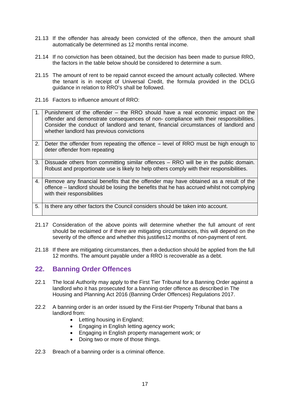- 21.13 If the offender has already been convicted of the offence, then the amount shall automatically be determined as 12 months rental income.
- 21.14 If no conviction has been obtained, but the decision has been made to pursue RRO, the factors in the table below should be considered to determine a sum.
- 21.15 The amount of rent to be repaid cannot exceed the amount actually collected. Where the tenant is in receipt of Universal Credit, the formula provided in the DCLG guidance in relation to RRO's shall be followed.
- 21.16 Factors to influence amount of RRO:

| $1_{-}$ | Punishment of the offender – the RRO should have a real economic impact on the<br>offender and demonstrate consequences of non-compliance with their responsibilities.<br>Consider the conduct of landlord and tenant, financial circumstances of landlord and<br>whether landlord has previous convictions |
|---------|-------------------------------------------------------------------------------------------------------------------------------------------------------------------------------------------------------------------------------------------------------------------------------------------------------------|
| 2.      | Deter the offender from repeating the offence – level of RRO must be high enough to<br>deter offender from repeating                                                                                                                                                                                        |
| 3.      | Dissuade others from committing similar offences – RRO will be in the public domain.<br>Robust and proportionate use is likely to help others comply with their responsibilities.                                                                                                                           |
| 4.      | Remove any financial benefits that the offender may have obtained as a result of the<br>offence – landlord should be losing the benefits that he has accrued whilst not complying<br>with their responsibilities                                                                                            |
| 5.      | Is there any other factors the Council considers should be taken into account.                                                                                                                                                                                                                              |

- 21.17 Consideration of the above points will determine whether the full amount of rent should be reclaimed or if there are mitigating circumstances, this will depend on the severity of the offence and whether this justifies12 months of non-payment of rent.
- 21.18 If there are mitigating circumstances, then a deduction should be applied from the full 12 months. The amount payable under a RRO is recoverable as a debt.

# **22. Banning Order Offences**

- 22.1 The local Authority may apply to the First Tier Tribunal for a Banning Order against a landlord who it has prosecuted for a banning order offence as described in The Housing and Planning Act 2016 (Banning Order Offences) Regulations 2017.
- 22.2 A banning order is an order issued by the First-tier Property Tribunal that bans a landlord from:
	- Letting housing in England;
	- Engaging in English letting agency work;
	- Engaging in English property management work; or
	- Doing two or more of those things.
- 22.3 Breach of a banning order is a criminal offence.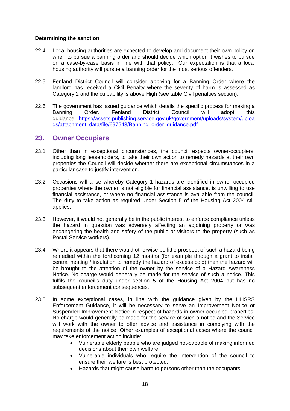#### **Determining the sanction**

- 22.4 Local housing authorities are expected to develop and document their own policy on when to pursue a banning order and should decide which option it wishes to pursue on a case-by-case basis in line with that policy. Our expectation is that a local housing authority will pursue a banning order for the most serious offenders.
- 22.5 Fenland District Council will consider applying for a Banning Order where the landlord has received a Civil Penalty where the severity of harm is assessed as Category 2 and the culpability is above High (see table Civil penalties section).
- 22.6 The government has issued guidance which details the specific process for making a Banning Order. Fenland District Council will adopt this guidance: [https://assets.publishing.service.gov.uk/government/uploads/system/uploa](https://assets.publishing.service.gov.uk/government/uploads/system/uploads/attachment_data/file/697643/Banning_order_guidance.pdf) [ds/attachment\\_data/file/697643/Banning\\_order\\_guidance.pdf](https://assets.publishing.service.gov.uk/government/uploads/system/uploads/attachment_data/file/697643/Banning_order_guidance.pdf)

### **23. Owner Occupiers**

- 23.1 Other than in exceptional circumstances, the council expects owner-occupiers, including long leaseholders, to take their own action to remedy hazards at their own properties the Council will decide whether there are exceptional circumstances in a particular case to justify intervention.
- 23.2 Occasions will arise whereby Category 1 hazards are identified in owner occupied properties where the owner is not eligible for financial assistance, is unwilling to use financial assistance, or where no financial assistance is available from the council. The duty to take action as required under Section 5 of the Housing Act 2004 still applies.
- 23.3 However, it would not generally be in the public interest to enforce compliance unless the hazard in question was adversely affecting an adjoining property or was endangering the health and safety of the public or visitors to the property (such as Postal Service workers).
- 23.4 Where it appears that there would otherwise be little prospect of such a hazard being remedied within the forthcoming 12 months (for example through a grant to install central heating / insulation to remedy the hazard of excess cold) then the hazard will be brought to the attention of the owner by the service of a Hazard Awareness Notice. No charge would generally be made for the service of such a notice. This fulfils the council's duty under section 5 of the Housing Act 2004 but has no subsequent enforcement consequences.
- 23.5 In some exceptional cases, in line with the guidance given by the HHSRS Enforcement Guidance, it will be necessary to serve an Improvement Notice or Suspended Improvement Notice in respect of hazards in owner occupied properties. No charge would generally be made for the service of such a notice and the Service will work with the owner to offer advice and assistance in complying with the requirements of the notice. Other examples of exceptional cases where the council may take enforcement action include:
	- Vulnerable elderly people who are judged not-capable of making informed decisions about their own welfare.
	- Vulnerable individuals who require the intervention of the council to ensure their welfare is best protected.
	- Hazards that might cause harm to persons other than the occupants.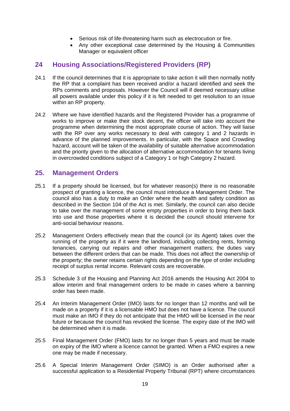- Serious risk of life-threatening harm such as electrocution or fire.
- Any other exceptional case determined by the Housing & Communities Manager or equivalent officer

### **24 Housing Associations/Registered Providers (RP)**

- 24.1 If the council determines that it is appropriate to take action it will then normally notify the RP that a complaint has been received and/or a hazard identified and seek the RPs comments and proposals. However the Council will if deemed necessary utilise all powers available under this policy if it is felt needed to get resolution to an issue within an RP property.
- 24.2 Where we have identified hazards and the Registered Provider has a programme of works to improve or make their stock decent, the officer will take into account the programme when determining the most appropriate course of action. They will liaise with the RP over any works necessary to deal with category 1 and 2 hazards in advance of the planned improvements. In particular, with the Space and Crowding hazard, account will be taken of the availability of suitable alternative accommodation and the priority given to the allocation of alternative accommodation for tenants living in overcrowded conditions subject of a Category 1 or high Category 2 hazard.

### **25. Management Orders**

- 25.1 If a property should be licensed, but for whatever reason(s) there is no reasonable prospect of granting a licence, the council must introduce a Management Order. The council also has a duty to make an Order where the health and safety condition as described in the Section 104 of the Act is met. Similarly, the council can also decide to take over the management of some empty properties in order to bring them back into use and those properties where it is decided the council should intervene for anti-social behaviour reasons.
- 25.2 Management Orders effectively mean that the council (or its Agent) takes over the running of the property as if it were the landlord, including collecting rents, forming tenancies, carrying out repairs and other management matters; the duties vary between the different orders that can be made. This does not affect the ownership of the property; the owner retains certain rights depending on the type of order including receipt of surplus rental income. Relevant costs are recoverable.
- 25.3 Schedule 3 of the Housing and Planning Act 2016 amends the Housing Act 2004 to allow interim and final management orders to be made in cases where a banning order has been made.
- 25.4 An Interim Management Order (IMO) lasts for no longer than 12 months and will be made on a property if it is a licensable HMO but does not have a licence. The council must make an IMO if they do not anticipate that the HMO will be licensed in the near future or because the council has revoked the license. The expiry date of the IMO will be determined when it is made.
- 25.5 Final Management Order (FMO) lasts for no longer than 5 years and must be made on expiry of the IMO where a licence cannot be granted. When a FMO expires a new one may be made if necessary.
- 25.6 A Special Interim Management Order (SIMO) is an Order authorised after a successful application to a Residential Property Tribunal (RPT) where circumstances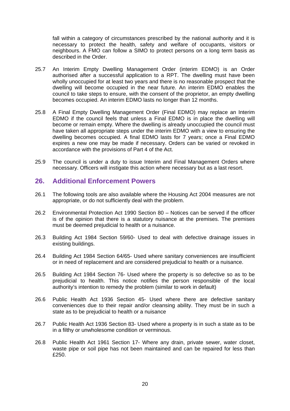fall within a category of circumstances prescribed by the national authority and it is necessary to protect the health, safety and welfare of occupants, visitors or neighbours. A FMO can follow a SIMO to protect persons on a long term basis as described in the Order.

- 25.7 An Interim Empty Dwelling Management Order (interim EDMO) is an Order authorised after a successful application to a RPT. The dwelling must have been wholly unoccupied for at least two years and there is no reasonable prospect that the dwelling will become occupied in the near future. An interim EDMO enables the council to take steps to ensure, with the consent of the proprietor, an empty dwelling becomes occupied. An interim EDMO lasts no longer than 12 months.
- 25.8 A Final Empty Dwelling Management Order (Final EDMO) may replace an Interim EDMO if the council feels that unless a Final EDMO is in place the dwelling will become or remain empty. Where the dwelling is already unoccupied the council must have taken all appropriate steps under the interim EDMO with a view to ensuring the dwelling becomes occupied. A final EDMO lasts for 7 years; once a Final EDMO expires a new one may be made if necessary. Orders can be varied or revoked in accordance with the provisions of Part 4 of the Act.
- 25.9 The council is under a duty to issue Interim and Final Management Orders where necessary. Officers will instigate this action where necessary but as a last resort.

### **26. Additional Enforcement Powers**

- 26.1 The following tools are also available where the Housing Act 2004 measures are not appropriate, or do not sufficiently deal with the problem.
- 26.2 Environmental Protection Act 1990 Section 80 Notices can be served if the officer is of the opinion that there is a statutory nuisance at the premises. The premises must be deemed prejudicial to health or a nuisance.
- 26.3 Building Act 1984 Section 59/60- Used to deal with defective drainage issues in existing buildings.
- 26.4 Building Act 1984 Section 64/65- Used where sanitary conveniences are insufficient or in need of replacement and are considered prejudicial to health or a nuisance.
- 26.5 Building Act 1984 Section 76- Used where the property is so defective so as to be prejudicial to health. This notice notifies the person responsible of the local authority's intention to remedy the problem (similar to work in default)
- 26.6 Public Health Act 1936 Section 45- Used where there are defective sanitary conveniences due to their repair and/or cleansing ability. They must be in such a state as to be prejudicial to health or a nuisance
- 26.7 Public Health Act 1936 Section 83- Used where a property is in such a state as to be in a filthy or unwholesome condition or verminous.
- 26.8 Public Health Act 1961 Section 17- Where any drain, private sewer, water closet, waste pipe or soil pipe has not been maintained and can be repaired for less than £250.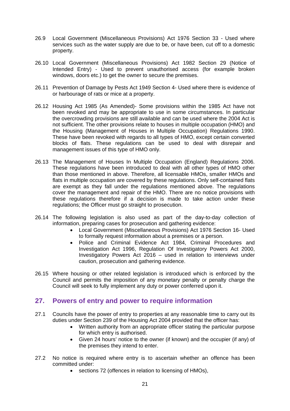- 26.9 Local Government (Miscellaneous Provisions) Act 1976 Section 33 Used where services such as the water supply are due to be, or have been, cut off to a domestic property.
- 26.10 Local Government (Miscellaneous Provisions) Act 1982 Section 29 (Notice of Intended Entry) - Used to prevent unauthorised access (for example broken windows, doors etc.) to get the owner to secure the premises.
- 26.11 Prevention of Damage by Pests Act 1949 Section 4- Used where there is evidence of or harbourage of rats or mice at a property.
- 26.12 Housing Act 1985 (As Amended)- Some provisions within the 1985 Act have not been revoked and may be appropriate to use in some circumstances. In particular the overcrowding provisions are still available and can be used where the 2004 Act is not sufficient. The other provisions relate to houses in multiple occupation (HMO) and the Housing (Management of Houses in Multiple Occupation) Regulations 1990. These have been revoked with regards to all types of HMO, except certain converted blocks of flats. These regulations can be used to deal with disrepair and management issues of this type of HMO only.
- 26.13 The Management of Houses In Multiple Occupation (England) Regulations 2006. These regulations have been introduced to deal with all other types of HMO other than those mentioned in above. Therefore, all licensable HMOs, smaller HMOs and flats in multiple occupation are covered by these regulations. Only self-contained flats are exempt as they fall under the regulations mentioned above. The regulations cover the management and repair of the HMO. There are no notice provisions with these regulations therefore if a decision is made to take action under these regulations; the Officer must go straight to prosecution.
- 26.14 The following legislation is also used as part of the day-to-day collection of information, preparing cases for prosecution and gathering evidence:
	- Local Government (Miscellaneous Provisions) Act 1976 Section 16- Used to formally request information about a premises or a person.
	- Police and Criminal Evidence Act 1984, Criminal Procedures and Investigation Act 1996, Regulation Of Investigatory Powers Act 2000, Investigatory Powers Act 2016 – used in relation to interviews under caution, prosecution and gathering evidence.
- 26.15 Where housing or other related legislation is introduced which is enforced by the Council and permits the imposition of any monetary penalty or penalty charge the Council will seek to fully implement any duty or power conferred upon it.

# **27. Powers of entry and power to require information**

- 27.1 Councils have the power of entry to properties at any reasonable time to carry out its duties under Section 239 of the Housing Act 2004 provided that the officer has:
	- Written authority from an appropriate officer stating the particular purpose for which entry is authorised.
	- Given 24 hours' notice to the owner (if known) and the occupier (if any) of the premises they intend to enter.
- 27.2 No notice is required where entry is to ascertain whether an offence has been committed under:
	- sections 72 (offences in relation to licensing of HMOs),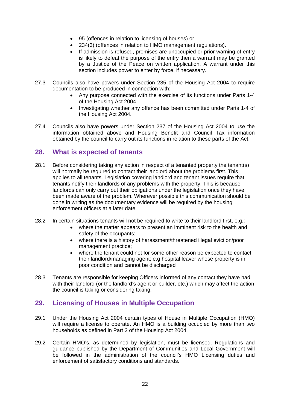- 95 (offences in relation to licensing of houses) or
- 234(3) (offences in relation to HMO management regulations).
- If admission is refused, premises are unoccupied or prior warning of entry is likely to defeat the purpose of the entry then a warrant may be granted by a Justice of the Peace on written application. A warrant under this section includes power to enter by force, if necessary.
- 27.3 Councils also have powers under Section 235 of the Housing Act 2004 to require documentation to be produced in connection with:
	- Any purpose connected with the exercise of its functions under Parts 1-4 of the Housing Act 2004.
	- Investigating whether any offence has been committed under Parts 1-4 of the Housing Act 2004.
- 27.4 Councils also have powers under Section 237 of the Housing Act 2004 to use the information obtained above and Housing Benefit and Council Tax information obtained by the council to carry out its functions in relation to these parts of the Act.

# **28. What is expected of tenants**

- 28.1 Before considering taking any action in respect of a tenanted property the tenant(s) will normally be required to contact their landlord about the problems first. This applies to all tenants. Legislation covering landlord and tenant issues require that tenants notify their landlords of any problems with the property. This is because landlords can only carry out their obligations under the legislation once they have been made aware of the problem. Wherever possible this communication should be done in writing as the documentary evidence will be required by the housing enforcement officers at a later date.
- 28.2 In certain situations tenants will not be required to write to their landlord first, e.g.:
	- where the matter appears to present an imminent risk to the health and safety of the occupants;
	- where there is a history of harassment/threatened illegal eviction/poor management practice;
	- where the tenant could not for some other reason be expected to contact their landlord/managing agent; e.g hospital leaver whose property is in poor condition and cannot be discharged
- 28.3 Tenants are responsible for keeping Officers informed of any contact they have had with their landlord (or the landlord's agent or builder, etc.) which may affect the action the council is taking or considering taking.

# **29. Licensing of Houses in Multiple Occupation**

- 29.1 Under the Housing Act 2004 certain types of House in Multiple Occupation (HMO) will require a license to operate. An HMO is a building occupied by more than two households as defined in Part 2 of the Housing Act 2004.
- 29.2 Certain HMO's, as determined by legislation, must be licensed. Regulations and guidance published by the Department of Communities and Local Government will be followed in the administration of the council's HMO Licensing duties and enforcement of satisfactory conditions and standards.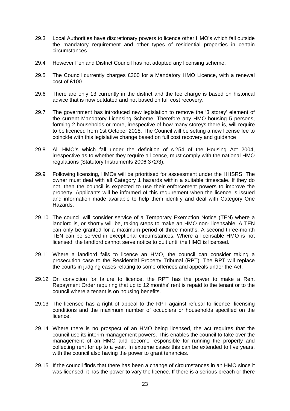- 29.3 Local Authorities have discretionary powers to licence other HMO's which fall outside the mandatory requirement and other types of residential properties in certain circumstances.
- 29.4 However Fenland District Council has not adopted any licensing scheme.
- 29.5 The Council currently charges £300 for a Mandatory HMO Licence, with a renewal cost of £100.
- 29.6 There are only 13 currently in the district and the fee charge is based on historical advice that is now outdated and not based on full cost recovery.
- 29.7 The government has introduced new legislation to remove the '3 storey' element of the current Mandatory Licensing Scheme. Therefore any HMO housing 5 persons, forming 2 households or more, irrespective of how many storeys there is, will require to be licenced from 1st October 2018. The Council will be setting a new license fee to coincide with this legislative change based on full cost recovery and guidance
- 29.8 All HMO's which fall under the definition of s.254 of the Housing Act 2004, irrespective as to whether they require a licence, must comply with the national HMO regulations (Statutory Instruments 2006 372/3).
- 29.9 Following licensing, HMOs will be prioritised for assessment under the HHSRS. The owner must deal with all Category 1 hazards within a suitable timescale. If they do not, then the council is expected to use their enforcement powers to improve the property. Applicants will be informed of this requirement when the licence is issued and information made available to help them identify and deal with Category One Hazards.
- 29.10 The council will consider service of a Temporary Exemption Notice (TEN) where a landlord is, or shortly will be, taking steps to make an HMO non- licensable. A TEN can only be granted for a maximum period of three months. A second three-month TEN can be served in exceptional circumstances. Where a licensable HMO is not licensed, the landlord cannot serve notice to quit until the HMO is licensed.
- 29.11 Where a landlord fails to licence an HMO, the council can consider taking a prosecution case to the Residential Property Tribunal (RPT). The RPT will replace the courts in judging cases relating to some offences and appeals under the Act.
- 29.12 On conviction for failure to licence, the RPT has the power to make a Rent Repayment Order requiring that up to 12 months' rent is repaid to the tenant or to the council where a tenant is on housing benefits.
- 29.13 The licensee has a right of appeal to the RPT against refusal to licence, licensing conditions and the maximum number of occupiers or households specified on the licence.
- 29.14 Where there is no prospect of an HMO being licensed, the act requires that the council use its interim management powers. This enables the council to take over the management of an HMO and become responsible for running the property and collecting rent for up to a year. In extreme cases this can be extended to five years, with the council also having the power to grant tenancies.
- 29.15 If the council finds that there has been a change of circumstances in an HMO since it was licensed, it has the power to vary the licence. If there is a serious breach or there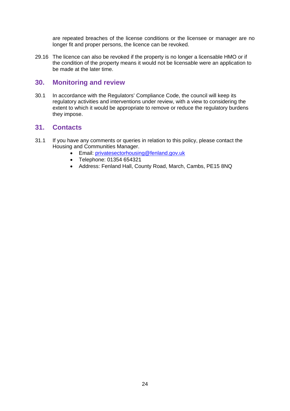are repeated breaches of the license conditions or the licensee or manager are no longer fit and proper persons, the licence can be revoked.

29.16 The licence can also be revoked if the property is no longer a licensable HMO or if the condition of the property means it would not be licensable were an application to be made at the later time.

## **30. Monitoring and review**

30.1 In accordance with the Regulators' Compliance Code, the council will keep its regulatory activities and interventions under review, with a view to considering the extent to which it would be appropriate to remove or reduce the regulatory burdens they impose.

### **31. Contacts**

- 31.1 If you have any comments or queries in relation to this policy, please contact the Housing and Communities Manager.
	- Email: [privatesectorhousing@fenland.gov.uk](mailto:privatesectorhousing@fenland.gov.uk)
	- Telephone: 01354 654321
	- Address: Fenland Hall, County Road, March, Cambs, PE15 8NQ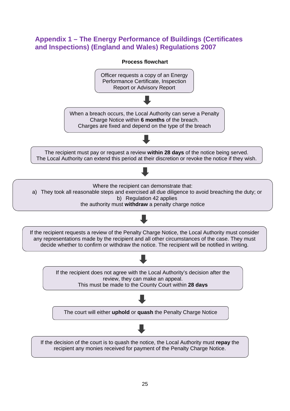# **Appendix 1 – The Energy Performance of Buildings (Certificates and Inspections) (England and Wales) Regulations 2007**

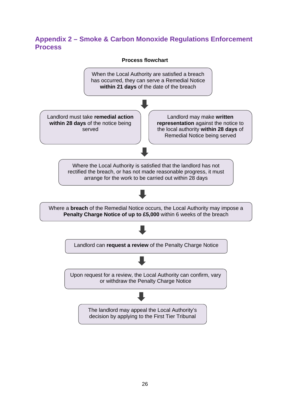# **Appendix 2 – Smoke & Carbon Monoxide Regulations Enforcement Process**